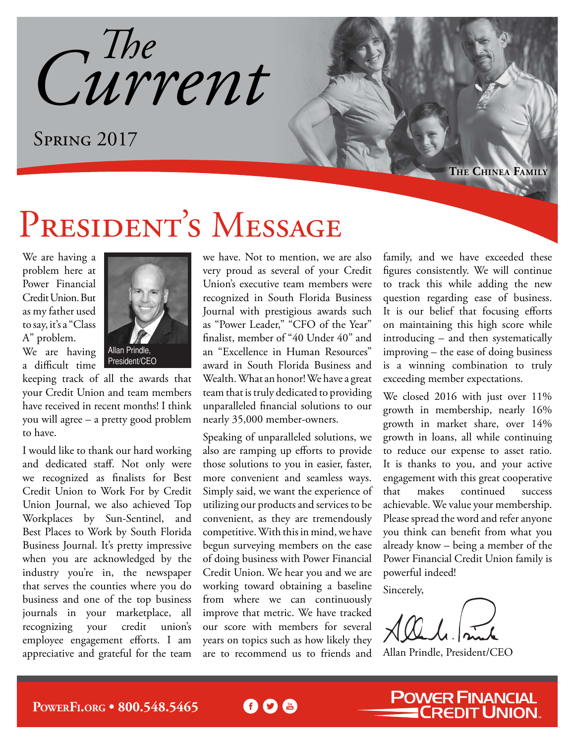*Current The*

SPRING 2017

**The Chinea Family**

## PRESIDENT'S MESSAGE

We are having a problem here at Power Financial Credit Union. But as my father used to say, it's a "Class A" problem.

We are having a difficult time



President/CEO

keeping track of all the awards that your Credit Union and team members have received in recent months! I think you will agree – a pretty good problem to have.

I would like to thank our hard working and dedicated staff. Not only were we recognized as finalists for Best Credit Union to Work For by Credit Union Journal, we also achieved Top Workplaces by Sun-Sentinel, and Best Places to Work by South Florida Business Journal. It's pretty impressive when you are acknowledged by the industry you're in, the newspaper that serves the counties where you do business and one of the top business journals in your marketplace, all recognizing your credit union's employee engagement efforts. I am appreciative and grateful for the team we have. Not to mention, we are also very proud as several of your Credit Union's executive team members were recognized in South Florida Business Journal with prestigious awards such as "Power Leader," "CFO of the Year" finalist, member of "40 Under 40" and an "Excellence in Human Resources" award in South Florida Business and Wealth. What an honor! We have a great team that is truly dedicated to providing unparalleled financial solutions to our nearly 35,000 member-owners.

Speaking of unparalleled solutions, we also are ramping up efforts to provide those solutions to you in easier, faster, more convenient and seamless ways. Simply said, we want the experience of utilizing our products and services to be convenient, as they are tremendously competitive. With this in mind, we have begun surveying members on the ease of doing business with Power Financial Credit Union. We hear you and we are working toward obtaining a baseline from where we can continuously improve that metric. We have tracked our score with members for several years on topics such as how likely they are to recommend us to friends and

60 C

family, and we have exceeded these figures consistently. We will continue to track this while adding the new question regarding ease of business. It is our belief that focusing efforts on maintaining this high score while introducing – and then systematically improving – the ease of doing business is a winning combination to truly exceeding member expectations.

We closed 2016 with just over 11% growth in membership, nearly 16% growth in market share, over 14% growth in loans, all while continuing to reduce our expense to asset ratio. It is thanks to you, and your active engagement with this great cooperative that makes continued success achievable. We value your membership. Please spread the word and refer anyone you think can benefit from what you already know – being a member of the Power Financial Credit Union family is powerful indeed!

Sincerely,

Allan Prindle, President/CEO

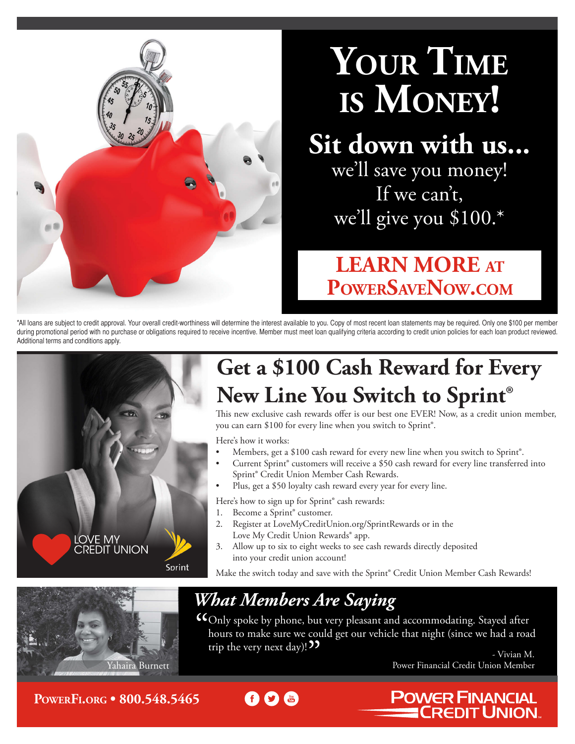

# **Your Time is Money!**

## **Sit down with us...**

we'll save you money! If we can't, we'll give you \$100.\*

### **LEARN MORE at <PowerSaveNow.com>**

\*All loans are subject to credit approval. Your overall credit-worthiness will determine the interest available to you. Copy of most recent loan statements may be required. Only one \$100 per member during promotional period with no purchase or obligations required to receive incentive. Member must meet loan qualifying criteria according to credit union policies for each loan product reviewed. Additional terms and conditions apply.



## **Get a \$100 Cash Reward for Every New Line You Switch to Sprint®**

This new exclusive cash rewards offer is our best one EVER! Now, as a credit union member, you can earn \$100 for every line when you switch to Sprint®.

Here's how it works:

- Members, get a \$100 cash reward for every new line when you switch to Sprint®.
- Current Sprint® customers will receive a \$50 cash reward for every line transferred into Sprint® Credit Union Member Cash Rewards.
- Plus, get a \$50 loyalty cash reward every year for every line.

Here's how to sign up for Sprint® cash rewards:

- 1. Become a Sprint® customer.
- 2. Register at [LoveMyCreditUnion.org/SprintRewards](lovemycreditunion.org/sprintrewards) or in the Love My Credit Union Rewards<sup>®</sup> app.
- 3. Allow up to six to eight weeks to see cash rewards directly deposited into your credit union account!

Make the switch today and save with the Sprint® Credit Union Member Cash Rewards!



### *What Members Are Saying*

Only spoke by phone, but very pleasant and accommodating. Stayed after hours to make sure we could get our vehicle that night (since we had a road trip the very next day)! ??

- Vivian M. Yahaira Burnett Power Financial Credit Union Member

**POWER FINANCIAL** 

**CREDIT UNION** 

**PowerF[i.org](http://PowerFi.org) • 800.548.5465**

 $\bigcirc$  (a)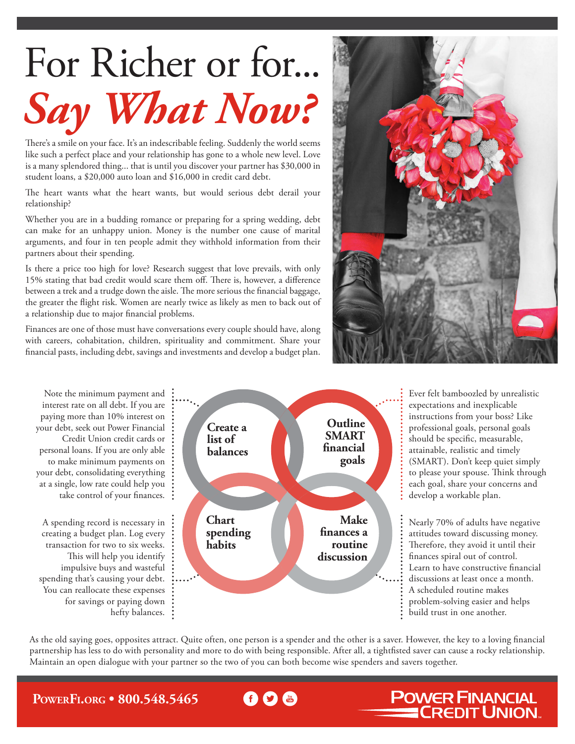# For Richer or for... *Say What Now?*

There's a smile on your face. It's an indescribable feeling. Suddenly the world seems like such a perfect place and your relationship has gone to a whole new level. Love is a many splendored thing... that is until you discover your partner has \$30,000 in student loans, a \$20,000 auto loan and \$16,000 in credit card debt.

The heart wants what the heart wants, but would serious debt derail your relationship?

Whether you are in a budding romance or preparing for a spring wedding, debt can make for an unhappy union. Money is the number one cause of marital arguments, and four in ten people admit they withhold information from their partners about their spending.

Is there a price too high for love? Research suggest that love prevails, with only 15% stating that bad credit would scare them off. There is, however, a difference between a trek and a trudge down the aisle. The more serious the financial baggage, the greater the flight risk. Women are nearly twice as likely as men to back out of a relationship due to major financial problems.

Finances are one of those must have conversations every couple should have, along with careers, cohabitation, children, spirituality and commitment. Share your financial pasts, including debt, savings and investments and develop a budget plan.



Note the minimum payment and interest rate on all debt. If you are paying more than 10% interest on your debt, seek out Power Financial Credit Union credit cards or personal loans. If you are only able to make minimum payments on your debt, consolidating everything at a single, low rate could help you take control of your finances. A spending record is necessary in creating a budget plan. Log every transaction for two to six weeks. This will help you identify impulsive buys and wasteful spending that's causing your debt. You can reallocate these expenses for savings or paying down hefty balances. **Create a list of balances Outline SMART financial goals Make finances a routine discussion Chart spending habits**

Ever felt bamboozled by unrealistic expectations and inexplicable instructions from your boss? Like professional goals, personal goals should be specific, measurable, attainable, realistic and timely (SMART). Don't keep quiet simply to please your spouse. Think through each goal, share your concerns and develop a workable plan.

Nearly 70% of adults have negative attitudes toward discussing money. Therefore, they avoid it until their finances spiral out of control. Learn to have constructive financial discussions at least once a month. A scheduled routine makes problem-solving easier and helps build trust in one another.

**POWER FINANCIAL<br>CREDIT UNION.** 

As the old saying goes, opposites attract. Quite often, one person is a spender and the other is a saver. However, the key to a loving financial partnership has less to do with personality and more to do with being responsible. After all, a tightfisted saver can cause a rocky relationship. Maintain an open dialogue with your partner so the two of you can both become wise spenders and savers together.

#### **PowerF[i.org](http://PowerFi.org) • 800.548.5465**